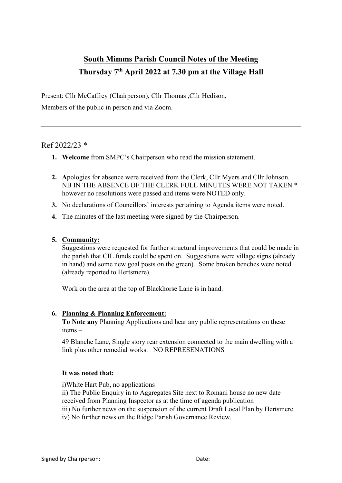# **South Mimms Parish Council Notes of the Meeting Thursday 7th April 2022 at 7.30 pm at the Village Hall**

Present: Cllr McCaffrey (Chairperson), Cllr Thomas ,Cllr Hedison,

Members of the public in person and via Zoom.

## Ref 2022/23 \*

- **1. Welcome** from SMPC's Chairperson who read the mission statement.
- **2. A**pologies for absence were received from the Clerk, Cllr Myers and Cllr Johnson. NB IN THE ABSENCE OF THE CLERK FULL MINUTES WERE NOT TAKEN \* however no resolutions were passed and items were NOTED only.
- **3.** No declarations of Councillors' interests pertaining to Agenda items were noted.
- **4.** The minutes of the last meeting were signed by the Chairperson.

### **5. Community:**

Suggestions were requested for further structural improvements that could be made in the parish that CIL funds could be spent on. Suggestions were village signs (already in hand) and some new goal posts on the green). Some broken benches were noted (already reported to Hertsmere).

Work on the area at the top of Blackhorse Lane is in hand.

#### **6. Planning & Planning Enforcement:**

**To Note any** Planning Applications and hear any public representations on these items –

49 Blanche Lane, Single story rear extension connected to the main dwelling with a link plus other remedial works. NO REPRESENATIONS

#### **It was noted that:**

i)White Hart Pub, no applications

- ii) The Public Enquiry in to Aggregates Site next to Romani house no new date
- received from Planning Inspector as at the time of agenda publication
- iii) No further news on **t**he suspension of the current Draft Local Plan by Hertsmere.
- iv) No further news on the Ridge Parish Governance Review.